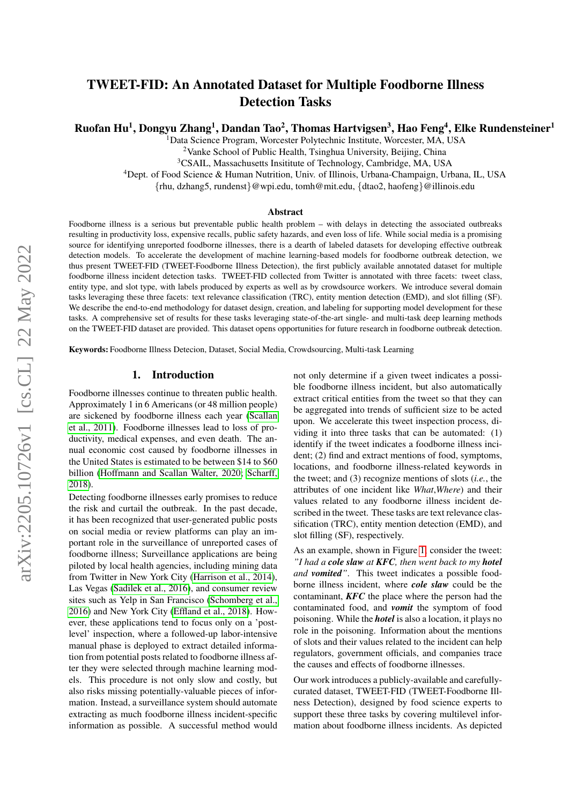# TWEET-FID: An Annotated Dataset for Multiple Foodborne Illness Detection Tasks

Ruofan Hu<sup>1</sup>, Dongyu Zhang<sup>1</sup>, Dandan Tao<sup>2</sup>, Thomas Hartvigsen<sup>3</sup>, Hao Feng<sup>4</sup>, Elke Rundensteiner<sup>1</sup>

<sup>1</sup>Data Science Program, Worcester Polytechnic Institute, Worcester, MA, USA

<sup>2</sup>Vanke School of Public Health, Tsinghua University, Beijing, China

<sup>3</sup>CSAIL, Massachusetts Insititute of Technology, Cambridge, MA, USA

<sup>4</sup>Dept. of Food Science & Human Nutrition, Univ. of Illinois, Urbana-Champaign, Urbana, IL, USA

{rhu, dzhang5, rundenst}@wpi.edu, tomh@mit.edu, {dtao2, haofeng}@illinois.edu

#### Abstract

Foodborne illness is a serious but preventable public health problem – with delays in detecting the associated outbreaks resulting in productivity loss, expensive recalls, public safety hazards, and even loss of life. While social media is a promising source for identifying unreported foodborne illnesses, there is a dearth of labeled datasets for developing effective outbreak detection models. To accelerate the development of machine learning-based models for foodborne outbreak detection, we thus present TWEET-FID (TWEET-Foodborne Illness Detection), the first publicly available annotated dataset for multiple foodborne illness incident detection tasks. TWEET-FID collected from Twitter is annotated with three facets: tweet class, entity type, and slot type, with labels produced by experts as well as by crowdsource workers. We introduce several domain tasks leveraging these three facets: text relevance classification (TRC), entity mention detection (EMD), and slot filling (SF). We describe the end-to-end methodology for dataset design, creation, and labeling for supporting model development for these tasks. A comprehensive set of results for these tasks leveraging state-of-the-art single- and multi-task deep learning methods on the TWEET-FID dataset are provided. This dataset opens opportunities for future research in foodborne outbreak detection.

Keywords: Foodborne Illness Detecion, Dataset, Social Media, Crowdsourcing, Multi-task Learning

# 1. Introduction

Foodborne illnesses continue to threaten public health. Approximately 1 in 6 Americans (or 48 million people) are sickened by foodborne illness each year [\(Scallan](#page-8-0) [et al., 2011\)](#page-8-0). Foodborne illnesses lead to loss of productivity, medical expenses, and even death. The annual economic cost caused by foodborne illnesses in the United States is estimated to be between \$14 to \$60 billion [\(Hoffmann and Scallan Walter, 2020;](#page-8-1) [Scharff,](#page-8-2) [2018\)](#page-8-2).

Detecting foodborne illnesses early promises to reduce the risk and curtail the outbreak. In the past decade, it has been recognized that user-generated public posts on social media or review platforms can play an important role in the surveillance of unreported cases of foodborne illness; Surveillance applications are being piloted by local health agencies, including mining data from Twitter in New York City [\(Harrison et al., 2014\)](#page-8-3), Las Vegas [\(Sadilek et al., 2016\)](#page-8-4), and consumer review sites such as Yelp in San Francisco [\(Schomberg et al.,](#page-8-5) [2016\)](#page-8-5) and New York City [\(Effland et al., 2018\)](#page-8-6). However, these applications tend to focus only on a 'postlevel' inspection, where a followed-up labor-intensive manual phase is deployed to extract detailed information from potential posts related to foodborne illness after they were selected through machine learning models. This procedure is not only slow and costly, but also risks missing potentially-valuable pieces of information. Instead, a surveillance system should automate extracting as much foodborne illness incident-specific information as possible. A successful method would

not only determine if a given tweet indicates a possible foodborne illness incident, but also automatically extract critical entities from the tweet so that they can be aggregated into trends of sufficient size to be acted upon. We accelerate this tweet inspection process, dividing it into three tasks that can be automated: (1) identify if the tweet indicates a foodborne illness incident; (2) find and extract mentions of food, symptoms, locations, and foodborne illness-related keywords in the tweet; and (3) recognize mentions of slots (*i.e.*, the attributes of one incident like *What*,*Where*) and their values related to any foodborne illness incident described in the tweet. These tasks are text relevance classification (TRC), entity mention detection (EMD), and slot filling (SF), respectively.

As an example, shown in Figure [1,](#page-1-0) consider the tweet: *"I had a cole slaw at KFC, then went back to my hotel and vomited"*. This tweet indicates a possible foodborne illness incident, where *cole slaw* could be the contaminant, *KFC* the place where the person had the contaminated food, and *vomit* the symptom of food poisoning. While the *hotel* is also a location, it plays no role in the poisoning. Information about the mentions of slots and their values related to the incident can help regulators, government officials, and companies trace the causes and effects of foodborne illnesses.

Our work introduces a publicly-available and carefullycurated dataset, TWEET-FID (TWEET-Foodborne Illness Detection), designed by food science experts to support these three tasks by covering multilevel information about foodborne illness incidents. As depicted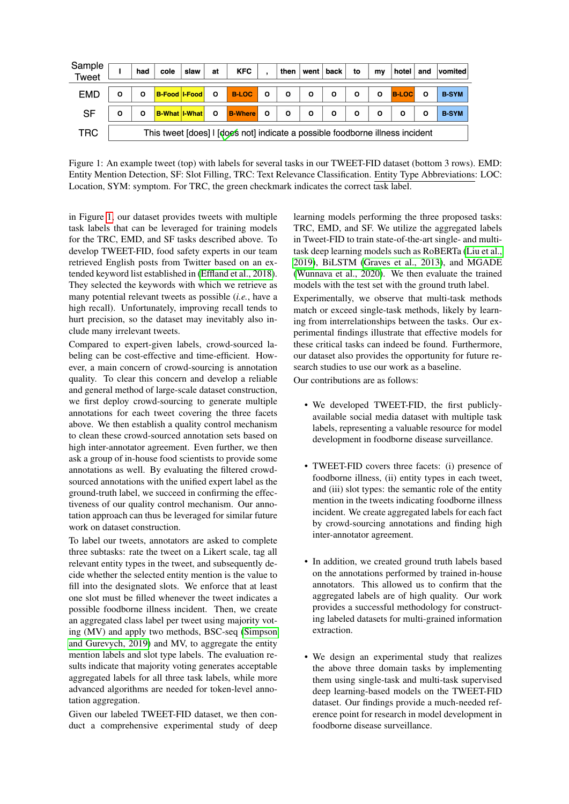| Sample<br><b>Tweet</b> |   | had     | cole                 | slaw | at      | <b>KFC</b>                                                                    |              | then         |              | went   back $ $ | to           | mv           | hotel        | and     | vomited      |
|------------------------|---|---------|----------------------|------|---------|-------------------------------------------------------------------------------|--------------|--------------|--------------|-----------------|--------------|--------------|--------------|---------|--------------|
| <b>EMD</b>             | O | $\circ$ | B-Food I-Food 0      |      |         | <b>B-LOC</b>                                                                  | $\mathbf{o}$ | $\mathbf{o}$ | $\circ$      | $\circ$         | $\mathbf{o}$ | $\circ$      | <b>B-LOC</b> | $\circ$ | <b>B-SYM</b> |
| <b>SF</b>              | O | O       | <b>B-What I-What</b> |      | $\circ$ | <b>B-Where</b> O                                                              |              | $\mathbf{o}$ | $\mathbf{o}$ | $\circ$         | $\circ$      | $\mathbf{o}$ | O            | O       | <b>B-SYM</b> |
| TRC                    |   |         |                      |      |         | This tweet [does] I [does not] indicate a possible foodborne illness incident |              |              |              |                 |              |              |              |         |              |

<span id="page-1-0"></span>Figure 1: An example tweet (top) with labels for several tasks in our TWEET-FID dataset (bottom 3 rows). EMD: Entity Mention Detection, SF: Slot Filling, TRC: Text Relevance Classification. Entity Type Abbreviations: LOC: Location, SYM: symptom. For TRC, the green checkmark indicates the correct task label.

in Figure [1,](#page-1-0) our dataset provides tweets with multiple task labels that can be leveraged for training models for the TRC, EMD, and SF tasks described above. To develop TWEET-FID, food safety experts in our team retrieved English posts from Twitter based on an extended keyword list established in [\(Effland et al., 2018\)](#page-8-6). They selected the keywords with which we retrieve as many potential relevant tweets as possible (*i.e.*, have a high recall). Unfortunately, improving recall tends to hurt precision, so the dataset may inevitably also include many irrelevant tweets.

Compared to expert-given labels, crowd-sourced labeling can be cost-effective and time-efficient. However, a main concern of crowd-sourcing is annotation quality. To clear this concern and develop a reliable and general method of large-scale dataset construction, we first deploy crowd-sourcing to generate multiple annotations for each tweet covering the three facets above. We then establish a quality control mechanism to clean these crowd-sourced annotation sets based on high inter-annotator agreement. Even further, we then ask a group of in-house food scientists to provide some annotations as well. By evaluating the filtered crowdsourced annotations with the unified expert label as the ground-truth label, we succeed in confirming the effectiveness of our quality control mechanism. Our annotation approach can thus be leveraged for similar future work on dataset construction.

To label our tweets, annotators are asked to complete three subtasks: rate the tweet on a Likert scale, tag all relevant entity types in the tweet, and subsequently decide whether the selected entity mention is the value to fill into the designated slots. We enforce that at least one slot must be filled whenever the tweet indicates a possible foodborne illness incident. Then, we create an aggregated class label per tweet using majority voting (MV) and apply two methods, BSC-seq [\(Simpson](#page-8-7) [and Gurevych, 2019\)](#page-8-7) and MV, to aggregate the entity mention labels and slot type labels. The evaluation results indicate that majority voting generates acceptable aggregated labels for all three task labels, while more advanced algorithms are needed for token-level annotation aggregation.

Given our labeled TWEET-FID dataset, we then conduct a comprehensive experimental study of deep learning models performing the three proposed tasks: TRC, EMD, and SF. We utilize the aggregated labels in Tweet-FID to train state-of-the-art single- and multitask deep learning models such as RoBERTa [\(Liu et al.,](#page-8-8) [2019\)](#page-8-8), BiLSTM [\(Graves et al., 2013\)](#page-8-9), and MGADE [\(Wunnava et al., 2020\)](#page-8-10). We then evaluate the trained models with the test set with the ground truth label. Experimentally, we observe that multi-task methods match or exceed single-task methods, likely by learning from interrelationships between the tasks. Our experimental findings illustrate that effective models for these critical tasks can indeed be found. Furthermore, our dataset also provides the opportunity for future research studies to use our work as a baseline.

Our contributions are as follows:

- We developed TWEET-FID, the first publiclyavailable social media dataset with multiple task labels, representing a valuable resource for model development in foodborne disease surveillance.
- TWEET-FID covers three facets: (i) presence of foodborne illness, (ii) entity types in each tweet, and (iii) slot types: the semantic role of the entity mention in the tweets indicating foodborne illness incident. We create aggregated labels for each fact by crowd-sourcing annotations and finding high inter-annotator agreement.
- In addition, we created ground truth labels based on the annotations performed by trained in-house annotators. This allowed us to confirm that the aggregated labels are of high quality. Our work provides a successful methodology for constructing labeled datasets for multi-grained information extraction.
- We design an experimental study that realizes the above three domain tasks by implementing them using single-task and multi-task supervised deep learning-based models on the TWEET-FID dataset. Our findings provide a much-needed reference point for research in model development in foodborne disease surveillance.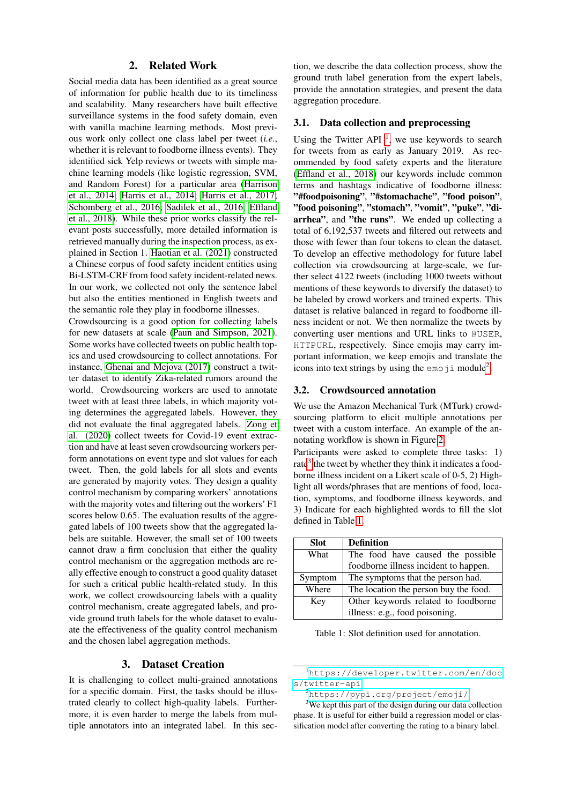# 2. Related Work

Social media data has been identified as a great source of information for public health due to its timeliness and scalability. Many researchers have built effective surveillance systems in the food safety domain, even with vanilla machine learning methods. Most previous work only collect one class label per tweet (*i.e.*, whether it is relevant to foodborne illness events). They identified sick Yelp reviews or tweets with simple machine learning models (like logistic regression, SVM, and Random Forest) for a particular area [\(Harrison](#page-8-3) [et al., 2014;](#page-8-3) [Harris et al., 2014;](#page-8-11) [Harris et al., 2017;](#page-8-12) [Schomberg et al., 2016;](#page-8-5) [Sadilek et al., 2016;](#page-8-4) [Effland](#page-8-6) [et al., 2018\)](#page-8-6). While these prior works classify the relevant posts successfully, more detailed information is retrieved manually during the inspection process, as explained in Section 1. [Haotian et al. \(2021\)](#page-8-13) constructed a Chinese corpus of food safety incident entities using Bi-LSTM-CRF from food safety incident-related news. In our work, we collected not only the sentence label but also the entities mentioned in English tweets and the semantic role they play in foodborne illnesses.

Crowdsourcing is a good option for collecting labels for new datasets at scale [\(Paun and Simpson, 2021\)](#page-8-14). Some works have collected tweets on public health topics and used crowdsourcing to collect annotations. For instance, [Ghenai and Mejova \(2017\)](#page-8-15) construct a twitter dataset to identify Zika-related rumors around the world. Crowdsourcing workers are used to annotate tweet with at least three labels, in which majority voting determines the aggregated labels. However, they did not evaluate the final aggregated labels. [Zong et](#page-8-16) [al. \(2020\)](#page-8-16) collect tweets for Covid-19 event extraction and have at least seven crowdsourcing workers perform annotations on event type and slot values for each tweet. Then, the gold labels for all slots and events are generated by majority votes. They design a quality control mechanism by comparing workers' annotations with the majority votes and filtering out the workers' F1 scores below 0.65. The evaluation results of the aggregated labels of 100 tweets show that the aggregated labels are suitable. However, the small set of 100 tweets cannot draw a firm conclusion that either the quality control mechanism or the aggregation methods are really effective enough to construct a good quality dataset for such a critical public health-related study. In this work, we collect crowdsourcing labels with a quality control mechanism, create aggregated labels, and provide ground truth labels for the whole dataset to evaluate the effectiveness of the quality control mechanism and the chosen label aggregation methods.

# 3. Dataset Creation

It is challenging to collect multi-grained annotations for a specific domain. First, the tasks should be illustrated clearly to collect high-quality labels. Furthermore, it is even harder to merge the labels from multiple annotators into an integrated label. In this sec-

tion, we describe the data collection process, show the ground truth label generation from the expert labels, provide the annotation strategies, and present the data aggregation procedure.

# 3.1. Data collection and preprocessing

Using the Twitter API  $<sup>1</sup>$  $<sup>1</sup>$  $<sup>1</sup>$ , we use keywords to search</sup> for tweets from as early as January 2019. As recommended by food safety experts and the literature [\(Effland et al., 2018\)](#page-8-6) our keywords include common terms and hashtags indicative of foodborne illness: "#foodpoisoning", "#stomachache", "food poison", "food poisoning", "stomach", "vomit", "puke", "diarrhea", and "the runs". We ended up collecting a total of 6,192,537 tweets and filtered out retweets and those with fewer than four tokens to clean the dataset. To develop an effective methodology for future label collection via crowdsourcing at large-scale, we further select 4122 tweets (including 1000 tweets without mentions of these keywords to diversify the dataset) to be labeled by crowd workers and trained experts. This dataset is relative balanced in regard to foodborne illness incident or not. We then normalize the tweets by converting user mentions and URL links to @USER, HTTPURL, respectively. Since emojis may carry important information, we keep emojis and translate the icons into text strings by using the  $\epsilon$ moji module<sup>[2](#page-2-1)</sup>.

#### 3.2. Crowdsourced annotation

We use the Amazon Mechanical Turk (MTurk) crowdsourcing platform to elicit multiple annotations per tweet with a custom interface. An example of the annotating workflow is shown in Figure [2.](#page-3-0)

Participants were asked to complete three tasks: 1) rate<sup>[3](#page-2-2)</sup> the tweet by whether they think it indicates a foodborne illness incident on a Likert scale of 0-5, 2) Highlight all words/phrases that are mentions of food, location, symptoms, and foodborne illness keywords, and 3) Indicate for each highlighted words to fill the slot defined in Table [1.](#page-2-3)

| <b>Slot</b> | <b>Definition</b>                     |
|-------------|---------------------------------------|
| What        | The food have caused the possible     |
|             | foodborne illness incident to happen. |
| Symptom     | The symptoms that the person had.     |
| Where       | The location the person buy the food. |
| Key         | Other keywords related to foodborne   |
|             | illness: e.g., food poisoning.        |

<span id="page-2-3"></span>Table 1: Slot definition used for annotation.

<span id="page-2-0"></span><sup>1</sup>[https://developer.twitter.com/en/doc](https://developer.twitter.com/en/docs/twitter-api) [s/twitter-api](https://developer.twitter.com/en/docs/twitter-api)

<span id="page-2-2"></span><span id="page-2-1"></span><sup>2</sup><https://pypi.org/project/emoji/>

<sup>&</sup>lt;sup>3</sup>We kept this part of the design during our data collection phase. It is useful for either build a regression model or classification model after converting the rating to a binary label.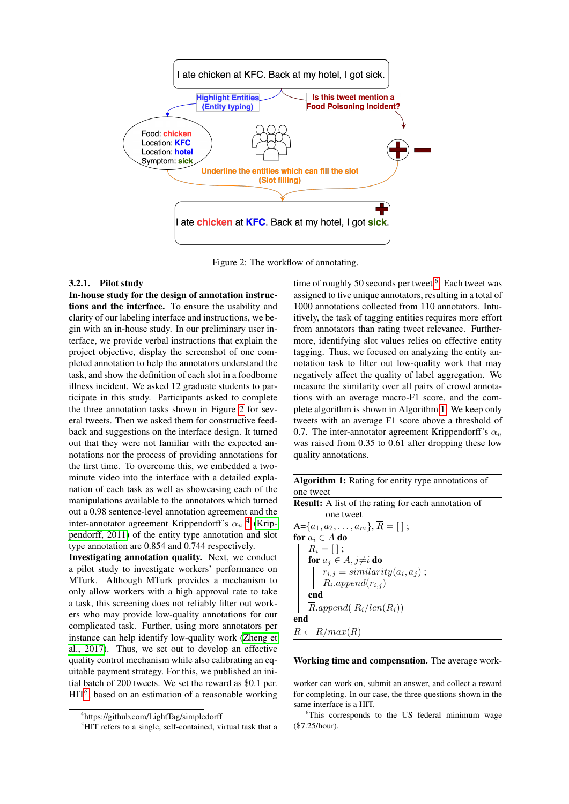

<span id="page-3-0"></span>Figure 2: The workflow of annotating.

#### 3.2.1. Pilot study

In-house study for the design of annotation instructions and the interface. To ensure the usability and clarity of our labeling interface and instructions, we begin with an in-house study. In our preliminary user interface, we provide verbal instructions that explain the project objective, display the screenshot of one completed annotation to help the annotators understand the task, and show the definition of each slot in a foodborne illness incident. We asked 12 graduate students to participate in this study. Participants asked to complete the three annotation tasks shown in Figure [2](#page-3-0) for several tweets. Then we asked them for constructive feedback and suggestions on the interface design. It turned out that they were not familiar with the expected annotations nor the process of providing annotations for the first time. To overcome this, we embedded a twominute video into the interface with a detailed explanation of each task as well as showcasing each of the manipulations available to the annotators which turned out a 0.98 sentence-level annotation agreement and the inter-annotator agreement Krippendorff's  $\alpha_u$ <sup>[4](#page-3-1)</sup> [\(Krip](#page-8-17)[pendorff, 2011\)](#page-8-17) of the entity type annotation and slot type annotation are 0.854 and 0.744 respectively.

Investigating annotation quality. Next, we conduct a pilot study to investigate workers' performance on MTurk. Although MTurk provides a mechanism to only allow workers with a high approval rate to take a task, this screening does not reliably filter out workers who may provide low-quality annotations for our complicated task. Further, using more annotators per instance can help identify low-quality work [\(Zheng et](#page-8-18) [al., 2017\)](#page-8-18). Thus, we set out to develop an effective quality control mechanism while also calibrating an equitable payment strategy. For this, we published an initial batch of 200 tweets. We set the reward as \$0.1 per.  $HIT<sup>5</sup>$  $HIT<sup>5</sup>$  $HIT<sup>5</sup>$ , based on an estimation of a reasonable working

time of roughly 50 seconds per tweet  $6$ . Each tweet was assigned to five unique annotators, resulting in a total of 1000 annotations collected from 110 annotators. Intuitively, the task of tagging entities requires more effort from annotators than rating tweet relevance. Furthermore, identifying slot values relies on effective entity tagging. Thus, we focused on analyzing the entity annotation task to filter out low-quality work that may negatively affect the quality of label aggregation. We measure the similarity over all pairs of crowd annotations with an average macro-F1 score, and the complete algorithm is shown in Algorithm [1.](#page-3-4) We keep only tweets with an average F1 score above a threshold of 0.7. The inter-annotator agreement Krippendorff's  $\alpha_u$ was raised from 0.35 to 0.61 after dropping these low quality annotations.

| <b>Algorithm 1:</b> Rating for entity type annotations of  |
|------------------------------------------------------------|
| one tweet                                                  |
| <b>Result:</b> A list of the rating for each annotation of |
| one tweet                                                  |
| A={ $a_1, a_2, \ldots, a_m$ }, $\overline{R} = [\ ]$ ;     |
| for $a_i \in A$ do                                         |
| $R_i = [\;]$ ;                                             |
| for $a_j \in A, j \neq i$ do                               |
| $r_{i,j} = similarity(a_i, a_j);$<br>$R_i.append(r_{i,j})$ |
|                                                            |
| end                                                        |
| $\overline{R}.append(R_i/len(R_i))$                        |
| end                                                        |
| $\overline{R} \leftarrow \overline{R}/max(\overline{R})$   |
|                                                            |

#### <span id="page-3-4"></span>Working time and compensation. The average work-

<span id="page-3-1"></span><sup>4</sup> https://github.com/LightTag/simpledorff

<span id="page-3-2"></span><sup>&</sup>lt;sup>5</sup>HIT refers to a single, self-contained, virtual task that a

worker can work on, submit an answer, and collect a reward for completing. In our case, the three questions shown in the same interface is a HIT.

<span id="page-3-3"></span><sup>&</sup>lt;sup>6</sup>This corresponds to the US federal minimum wage (\$7.25/hour).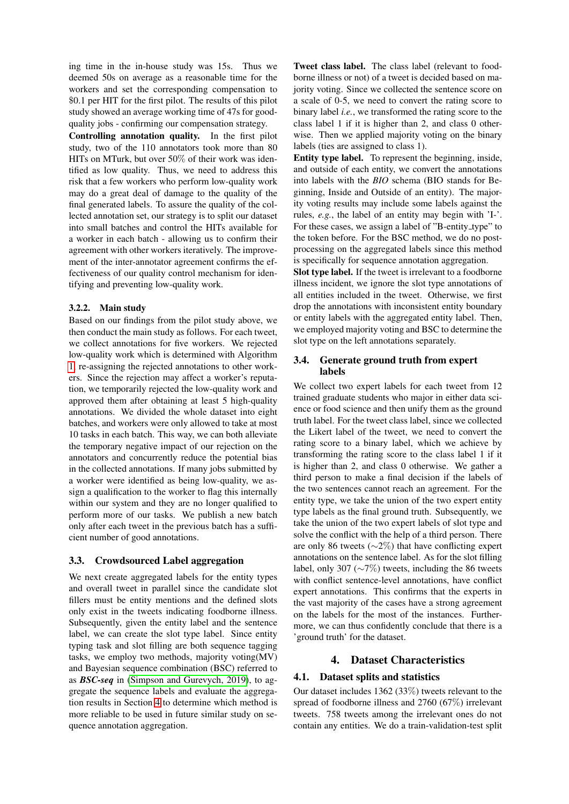ing time in the in-house study was 15s. Thus we deemed 50s on average as a reasonable time for the workers and set the corresponding compensation to \$0.1 per HIT for the first pilot. The results of this pilot study showed an average working time of 47s for goodquality jobs - confirming our compensation strategy.

Controlling annotation quality. In the first pilot study, two of the 110 annotators took more than 80 HITs on MTurk, but over 50% of their work was identified as low quality. Thus, we need to address this risk that a few workers who perform low-quality work may do a great deal of damage to the quality of the final generated labels. To assure the quality of the collected annotation set, our strategy is to split our dataset into small batches and control the HITs available for a worker in each batch - allowing us to confirm their agreement with other workers iteratively. The improvement of the inter-annotator agreement confirms the effectiveness of our quality control mechanism for identifying and preventing low-quality work.

# 3.2.2. Main study

Based on our findings from the pilot study above, we then conduct the main study as follows. For each tweet, we collect annotations for five workers. We rejected low-quality work which is determined with Algorithm [1,](#page-3-4) re-assigning the rejected annotations to other workers. Since the rejection may affect a worker's reputation, we temporarily rejected the low-quality work and approved them after obtaining at least 5 high-quality annotations. We divided the whole dataset into eight batches, and workers were only allowed to take at most 10 tasks in each batch. This way, we can both alleviate the temporary negative impact of our rejection on the annotators and concurrently reduce the potential bias in the collected annotations. If many jobs submitted by a worker were identified as being low-quality, we assign a qualification to the worker to flag this internally within our system and they are no longer qualified to perform more of our tasks. We publish a new batch only after each tweet in the previous batch has a sufficient number of good annotations.

### <span id="page-4-1"></span>3.3. Crowdsourced Label aggregation

We next create aggregated labels for the entity types and overall tweet in parallel since the candidate slot fillers must be entity mentions and the defined slots only exist in the tweets indicating foodborne illness. Subsequently, given the entity label and the sentence label, we can create the slot type label. Since entity typing task and slot filling are both sequence tagging tasks, we employ two methods, majority voting(MV) and Bayesian sequence combination (BSC) referred to as *BSC-seq* in [\(Simpson and Gurevych, 2019\)](#page-8-7), to aggregate the sequence labels and evaluate the aggregation results in Section [4](#page-4-0) to determine which method is more reliable to be used in future similar study on sequence annotation aggregation.

Tweet class label. The class label (relevant to foodborne illness or not) of a tweet is decided based on majority voting. Since we collected the sentence score on a scale of 0-5, we need to convert the rating score to binary label *i.e.*, we transformed the rating score to the class label 1 if it is higher than 2, and class 0 otherwise. Then we applied majority voting on the binary labels (ties are assigned to class 1).

Entity type label. To represent the beginning, inside, and outside of each entity, we convert the annotations into labels with the *BIO* schema (BIO stands for Beginning, Inside and Outside of an entity). The majority voting results may include some labels against the rules, *e.g.*, the label of an entity may begin with 'I-'. For these cases, we assign a label of "B-entity\_type" to the token before. For the BSC method, we do no postprocessing on the aggregated labels since this method is specifically for sequence annotation aggregation.

Slot type label. If the tweet is irrelevant to a foodborne illness incident, we ignore the slot type annotations of all entities included in the tweet. Otherwise, we first drop the annotations with inconsistent entity boundary or entity labels with the aggregated entity label. Then, we employed majority voting and BSC to determine the slot type on the left annotations separately.

# 3.4. Generate ground truth from expert labels

We collect two expert labels for each tweet from 12 trained graduate students who major in either data science or food science and then unify them as the ground truth label. For the tweet class label, since we collected the Likert label of the tweet, we need to convert the rating score to a binary label, which we achieve by transforming the rating score to the class label 1 if it is higher than 2, and class 0 otherwise. We gather a third person to make a final decision if the labels of the two sentences cannot reach an agreement. For the entity type, we take the union of the two expert entity type labels as the final ground truth. Subsequently, we take the union of the two expert labels of slot type and solve the conflict with the help of a third person. There are only 86 tweets (∼2%) that have conflicting expert annotations on the sentence label. As for the slot filling label, only 307 (∼7%) tweets, including the 86 tweets with conflict sentence-level annotations, have conflict expert annotations. This confirms that the experts in the vast majority of the cases have a strong agreement on the labels for the most of the instances. Furthermore, we can thus confidently conclude that there is a 'ground truth' for the dataset.

# 4. Dataset Characteristics

# <span id="page-4-0"></span>4.1. Dataset splits and statistics

Our dataset includes 1362 (33%) tweets relevant to the spread of foodborne illness and 2760 (67%) irrelevant tweets. 758 tweets among the irrelevant ones do not contain any entities. We do a train-validation-test split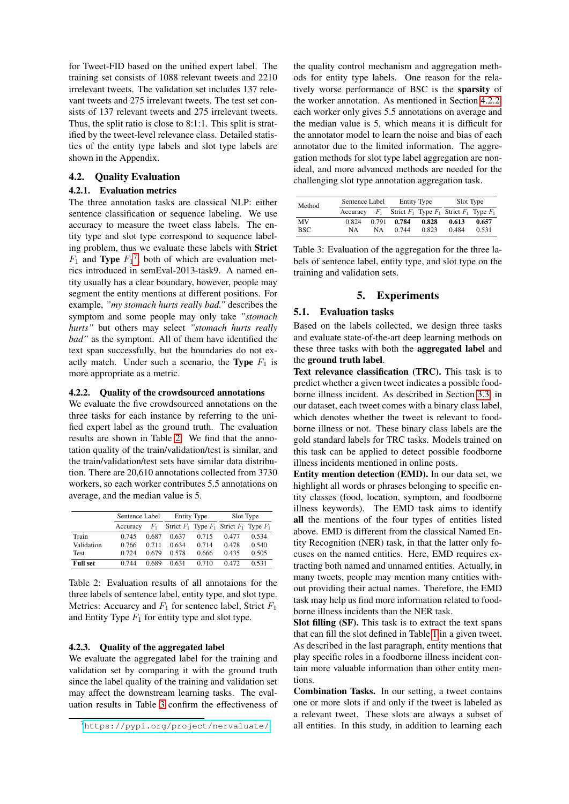for Tweet-FID based on the unified expert label. The training set consists of 1088 relevant tweets and 2210 irrelevant tweets. The validation set includes 137 relevant tweets and 275 irrelevant tweets. The test set consists of 137 relevant tweets and 275 irrelevant tweets. Thus, the split ratio is close to 8:1:1. This split is stratified by the tweet-level relevance class. Detailed statistics of the entity type labels and slot type labels are shown in the Appendix.

# 4.2. Quality Evaluation

### 4.2.1. Evaluation metrics

The three annotation tasks are classical NLP: either sentence classification or sequence labeling. We use accuracy to measure the tweet class labels. The entity type and slot type correspond to sequence labeling problem, thus we evaluate these labels with Strict  $F_1$  and **Type**  $F_1^7$  $F_1^7$ , both of which are evaluation metrics introduced in semEval-2013-task9. A named entity usually has a clear boundary, however, people may segment the entity mentions at different positions. For example, *"my stomach hurts really bad."* describes the symptom and some people may only take *"stomach hurts"* but others may select *"stomach hurts really bad"* as the symptom. All of them have identified the text span successfully, but the boundaries do not exactly match. Under such a scenario, the **Type**  $F_1$  is more appropriate as a metric.

### <span id="page-5-3"></span>4.2.2. Quality of the crowdsourced annotations

We evaluate the five crowdsourced annotations on the three tasks for each instance by referring to the unified expert label as the ground truth. The evaluation results are shown in Table [2.](#page-5-1) We find that the annotation quality of the train/validation/test is similar, and the train/validation/test sets have similar data distribution. There are 20,610 annotations collected from 3730 workers, so each worker contributes 5.5 annotations on average, and the median value is 5.

|                 | Sentence Label |         | <b>Entity Type</b> |       | Slot Type                                       |       |  |
|-----------------|----------------|---------|--------------------|-------|-------------------------------------------------|-------|--|
|                 | Accuracy       | $F_{1}$ |                    |       | Strict $F_1$ Type $F_1$ Strict $F_1$ Type $F_1$ |       |  |
| Train           | 0.745          | 0.687   | 0.637              | 0.715 | 0.477                                           | 0.534 |  |
| Validation      | 0.766          | 0.711   | 0.634              | 0.714 | 0.478                                           | 0.540 |  |
| <b>Test</b>     | 0.724          | 0.679   | 0.578              | 0.666 | 0.435                                           | 0.505 |  |
| <b>Full set</b> | 0.744          | 0.689   | 0.631              | 0.710 | 0.472                                           | 0.531 |  |

<span id="page-5-1"></span>Table 2: Evaluation results of all annotaions for the three labels of sentence label, entity type, and slot type. Metrics: Accuarcy and  $F_1$  for sentence label, Strict  $F_1$ and Entity Type  $F_1$  for entity type and slot type.

### 4.2.3. Quality of the aggregated label

We evaluate the aggregated label for the training and validation set by comparing it with the ground truth since the label quality of the training and validation set may affect the downstream learning tasks. The evaluation results in Table [3](#page-5-2) confirm the effectiveness of

the quality control mechanism and aggregation methods for entity type labels. One reason for the relatively worse performance of BSC is the sparsity of the worker annotation. As mentioned in Section [4.2.2,](#page-5-3) each worker only gives 5.5 annotations on average and the median value is 5, which means it is difficult for the annotator model to learn the noise and bias of each annotator due to the limited information. The aggregation methods for slot type label aggregation are nonideal, and more advanced methods are needed for the challenging slot type annotation aggregation task.

| Method | Sentence Label | <b>Entity Type</b><br>Slot Type |       |       |                                                 |       |
|--------|----------------|---------------------------------|-------|-------|-------------------------------------------------|-------|
|        | Accuracy       | $F_1$                           |       |       | Strict $F_1$ Type $F_1$ Strict $F_1$ Type $F_1$ |       |
| MV     | 0.824          | 0.791                           | 0.784 | 0.828 | 0.613                                           | 0.657 |
| BSC.   | NA             | NА                              | 0.744 | 0.823 | 0.484                                           | 0.531 |

<span id="page-5-2"></span>Table 3: Evaluation of the aggregation for the three labels of sentence label, entity type, and slot type on the training and validation sets.

# 5. Experiments

# 5.1. Evaluation tasks

Based on the labels collected, we design three tasks and evaluate state-of-the-art deep learning methods on these three tasks with both the aggregated label and the ground truth label.

Text relevance classification (TRC). This task is to predict whether a given tweet indicates a possible foodborne illness incident. As described in Section [3.3,](#page-4-1) in our dataset, each tweet comes with a binary class label, which denotes whether the tweet is relevant to foodborne illness or not. These binary class labels are the gold standard labels for TRC tasks. Models trained on this task can be applied to detect possible foodborne illness incidents mentioned in online posts.

Entity mention detection (EMD). In our data set, we highlight all words or phrases belonging to specific entity classes (food, location, symptom, and foodborne illness keywords). The EMD task aims to identify all the mentions of the four types of entities listed above. EMD is different from the classical Named Entity Recognition (NER) task, in that the latter only focuses on the named entities. Here, EMD requires extracting both named and unnamed entities. Actually, in many tweets, people may mention many entities without providing their actual names. Therefore, the EMD task may help us find more information related to foodborne illness incidents than the NER task.

Slot filling (SF). This task is to extract the text spans that can fill the slot defined in Table [1](#page-2-3) in a given tweet. As described in the last paragraph, entity mentions that play specific roles in a foodborne illness incident contain more valuable information than other entity mentions.

Combination Tasks. In our setting, a tweet contains one or more slots if and only if the tweet is labeled as a relevant tweet. These slots are always a subset of all entities. In this study, in addition to learning each

<span id="page-5-0"></span><sup>7</sup><https://pypi.org/project/nervaluate/>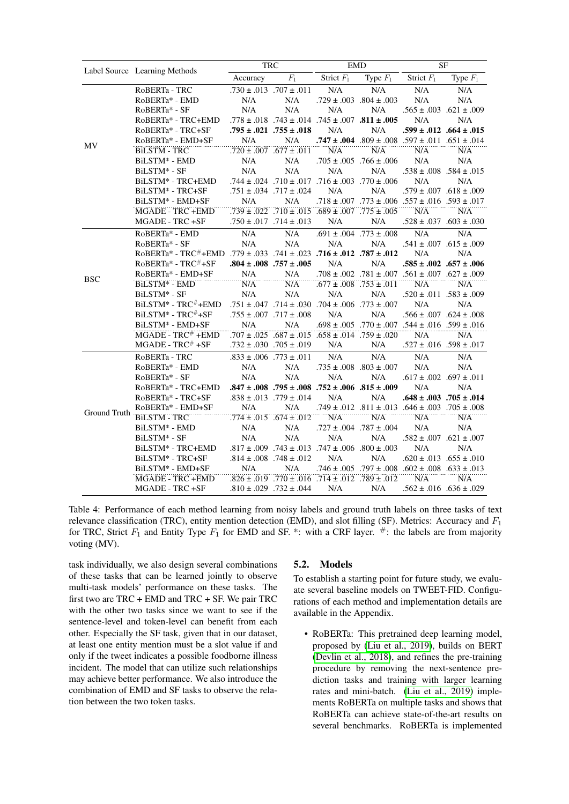|              |                                                                     |          | <b>TRC</b>                       |                                                                    | <b>EMD</b>                       | <b>SF</b>                                                             |                                 |  |
|--------------|---------------------------------------------------------------------|----------|----------------------------------|--------------------------------------------------------------------|----------------------------------|-----------------------------------------------------------------------|---------------------------------|--|
|              | Label Source Learning Methods                                       | Accuracy | $F_1$                            | Strict $F_1$                                                       | Type $F_1$                       | Strict $F_1$                                                          | Type $F_1$                      |  |
|              | RoBERTa - TRC                                                       |          | $.730 \pm .013$ 707 $\pm .011$   | N/A                                                                | N/A                              | N/A                                                                   | N/A                             |  |
|              | RoBERTa* - EMD                                                      | N/A      | N/A                              |                                                                    | $.729 \pm .003$ $.804 \pm .003$  | N/A                                                                   | N/A                             |  |
|              | RoBERTa* - SF                                                       | N/A      | N/A                              | N/A                                                                | N/A                              |                                                                       | $.565 \pm .003$ $.621 \pm .009$ |  |
|              | RoBERTa* - TRC+EMD                                                  |          |                                  | .778 ± .018 .743 ± .014 .745 ± .007 .811 ± .005                    |                                  | N/A                                                                   | N/A                             |  |
|              | RoBERTa* - TRC+SF                                                   |          | $.795 \pm .021$ $.755 \pm .018$  | N/A                                                                | N/A                              |                                                                       | $.599 \pm .012$ $.664 \pm .015$ |  |
|              | RoBERTa* - EMD+SF                                                   | N/A      | N/A                              |                                                                    |                                  |                                                                       |                                 |  |
| MV           | <b>BILSTM - TRC</b>                                                 |          | $.720 \pm .007$ .677 $\pm .011$  | N/A                                                                | N/A                              | N/A                                                                   | N/A                             |  |
|              | BILSTM <sup>*</sup> - EMD                                           | N/A      | N/A                              |                                                                    | $.705 \pm .005$ . 766 $\pm .006$ | N/A                                                                   | N/A                             |  |
|              | BiLSTM* - SF                                                        | N/A      | N/A                              | N/A                                                                | N/A                              | $.538 \pm .008$ $.584 \pm .015$                                       |                                 |  |
|              | BILSTM* - TRC+EMD                                                   |          |                                  | .744 ± .024 .710 ± .017 .716 ± .003 .770 ± .024                    |                                  | N/A                                                                   | N/A                             |  |
|              | BILSTM* - TRC+SF                                                    |          | $.751 \pm .034$ .717 $\pm .024$  | N/A                                                                | N/A                              | $.579 \pm .007$ $.618 \pm .009$                                       |                                 |  |
|              | BiLSTM* - EMD+SF                                                    | N/A      | N/A                              |                                                                    |                                  | $.718 \pm .007$ . $.773 \pm .006$ . $.557 \pm .016$ . $.593 \pm .017$ |                                 |  |
|              | <b>MGADE - TRC +EMD</b>                                             |          |                                  | $.739 \pm .022$ $.710 \pm .015$ $.689 \pm .007$ $.775 \pm .005$    |                                  | N/A                                                                   | N/A                             |  |
|              | MGADE - TRC +SF                                                     |          | $.750 \pm .017$ . 714 $\pm .013$ | N/A                                                                | N/A                              |                                                                       | $.528 \pm .037$ $.603 \pm .030$ |  |
|              | RoBERTa* - EMD                                                      | N/A      | N/A                              |                                                                    | $.691 \pm .004$ .773 $\pm .008$  | N/A                                                                   | N/A                             |  |
|              | RoBERTa* - SF                                                       | N/A      | N/A                              | N/A                                                                | N/A                              |                                                                       | $.541 \pm .007$ $.615 \pm .009$ |  |
|              | RoBERTa* - TRC#+EMD .779 ± .033 .741 ± .023 .716 ± .012 .787 ± .012 |          |                                  |                                                                    |                                  | N/A                                                                   | N/A                             |  |
|              | RoBERTa* - TRC#+SF                                                  |          | $.804 \pm .008$ .757 $\pm .005$  | N/A                                                                | N/A                              |                                                                       | $.585 \pm .002$ $.657 \pm .006$ |  |
| <b>BSC</b>   | RoBERTa* - EMD+SF                                                   | N/A      | N/A                              |                                                                    |                                  | .708 ± .002 .781 ± .007 .561 ± .007 .627 ± .009                       |                                 |  |
|              | BiLSTM <sup>*</sup> - EMD                                           | N/A      | N/A                              |                                                                    | $.677 \pm .008$ .753 $\pm .011$  | N/A                                                                   | N/A                             |  |
|              | BiLSTM* - SF                                                        | N/A      | N/A                              | N/A                                                                | N/A                              |                                                                       | $.520 \pm .011$ $.583 \pm .009$ |  |
|              | $BiLSTM* - TRC^{\#}+EMD$                                            |          |                                  | $.751 \pm .047$ 73 $+ .030$ 794 $\pm .006$ 773 $\pm .007$          |                                  | N/A                                                                   | N/A                             |  |
|              | BiLSTM* - TRC <sup>#</sup> +SF                                      |          | $.755 \pm .007$ 717 $\pm .008$   | N/A                                                                | N/A                              |                                                                       | $.566 \pm .007$ $.624 \pm .008$ |  |
|              | BiLSTM* - EMD+SF                                                    | N/A      | N/A                              |                                                                    |                                  | .698 ± .005 .770 ± .007 .544 ± .016 .599 ± .016                       |                                 |  |
|              | $MGADE - TRC^+ + EMD$                                               |          |                                  | $.707 \pm .025$ $.687 \pm .015$ $.658 \pm .014$ $.759 \pm .020$    |                                  | N/A                                                                   | N/A                             |  |
|              | $MGADE - TRC^{\#} + SF$                                             |          | $.732 \pm .030$ . 705 $\pm .019$ | N/A                                                                | N/A                              |                                                                       | $.527 \pm .016$ $.598 \pm .017$ |  |
|              | RoBERTa - TRC                                                       |          | $.833 \pm .006$ .773 $\pm .011$  | N/A                                                                | N/A                              | N/A                                                                   | N/A                             |  |
|              | RoBERTa* - EMD                                                      | N/A      | N/A                              |                                                                    | $.735 \pm .008$ $.803 \pm .007$  | N/A                                                                   | N/A                             |  |
|              | RoBERTa* - SF                                                       | N/A      | N/A                              | N/A                                                                | N/A                              | $.617 \pm .002$ $.697 \pm .011$                                       |                                 |  |
|              | RoBERTa* - TRC+EMD                                                  |          |                                  | $.847 \pm .008$ . 795 $\pm .008$ . 752 $\pm .006$ . 315 $\pm .009$ |                                  | N/A                                                                   | N/A                             |  |
|              | RoBERTa* - TRC+SF                                                   |          | $.838 \pm .013$ .779 $\pm .014$  | N/A                                                                | N/A                              |                                                                       | $.648 \pm .003$ 705 $\pm .014$  |  |
|              | RoBERTa* - EMD+SF                                                   | N/A      | N/A                              |                                                                    |                                  | $.749 \pm .012$ $.811 \pm .013$ $.646 \pm .003$ $.705 \pm .008$       |                                 |  |
| Ground Truth | <b>BiLSTM - TRC</b>                                                 |          | $.774 \pm .015$ $.674 \pm .012$  | N/A                                                                | N/A                              | N/A                                                                   | N/A                             |  |
|              | BiLSTM* - EMD                                                       | N/A      | N/A                              |                                                                    | $.727 \pm .004$ .787 $\pm .004$  | N/A                                                                   | N/A                             |  |
|              | BiLSTM* - SF                                                        | N/A      | N/A                              | N/A                                                                | N/A                              | $.582 \pm .007$ $.621 \pm .007$                                       |                                 |  |
|              | BILSTM* - TRC+EMD                                                   |          |                                  | $.817 \pm .009$ . 743 $\pm .013$ . 747 $\pm .006$ . 800 $\pm .003$ |                                  | N/A                                                                   | N/A                             |  |
|              | BILSTM* - TRC+SF                                                    |          | $.814 \pm .008$ .748 $\pm .012$  | N/A                                                                | N/A                              |                                                                       | $.620 \pm .013$ $.655 \pm .010$ |  |
|              | BiLSTM* - EMD+SF                                                    | N/A      | N/A                              |                                                                    |                                  | $.746 \pm .005$ $.797 \pm .008$ $.602 \pm .008$ $.633 \pm .013$       |                                 |  |
|              | <b>MGADE - TRC +EMD</b>                                             |          |                                  | $.826 \pm .019$ .770 $\pm .016$ .714 $\pm .012$ .789 $\pm .012$    |                                  | N/A                                                                   | N/A                             |  |
|              | MGADE - TRC +SF                                                     |          | $.810 \pm .029$ .732 $\pm .044$  | N/A                                                                | N/A                              |                                                                       | $.562 \pm .016$ $.636 \pm .029$ |  |

<span id="page-6-0"></span>Table 4: Performance of each method learning from noisy labels and ground truth labels on three tasks of text relevance classification (TRC), entity mention detection (EMD), and slot filling (SF). Metrics: Accuracy and  $F_1$ for TRC, Strict  $F_1$  and Entity Type  $F_1$  for EMD and SF. \*: with a CRF layer. #: the labels are from majority voting (MV).

task individually, we also design several combinations of these tasks that can be learned jointly to observe multi-task models' performance on these tasks. The first two are TRC + EMD and TRC + SF. We pair TRC with the other two tasks since we want to see if the sentence-level and token-level can benefit from each other. Especially the SF task, given that in our dataset, at least one entity mention must be a slot value if and only if the tweet indicates a possible foodborne illness incident. The model that can utilize such relationships may achieve better performance. We also introduce the combination of EMD and SF tasks to observe the relation between the two token tasks.

#### 5.2. Models

To establish a starting point for future study, we evaluate several baseline models on TWEET-FID. Configurations of each method and implementation details are available in the Appendix.

• RoBERTa: This pretrained deep learning model, proposed by [\(Liu et al., 2019\)](#page-8-8), builds on BERT [\(Devlin et al., 2018\)](#page-7-0), and refines the pre-training procedure by removing the next-sentence prediction tasks and training with larger learning rates and mini-batch. [\(Liu et al., 2019\)](#page-8-8) implements RoBERTa on multiple tasks and shows that RoBERTa can achieve state-of-the-art results on several benchmarks. RoBERTa is implemented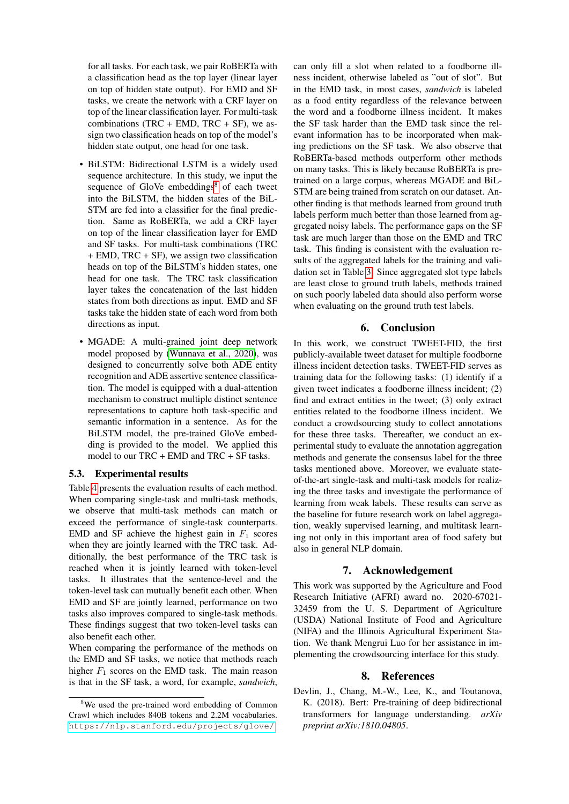for all tasks. For each task, we pair RoBERTa with a classification head as the top layer (linear layer on top of hidden state output). For EMD and SF tasks, we create the network with a CRF layer on top of the linear classification layer. For multi-task combinations (TRC + EMD, TRC + SF), we assign two classification heads on top of the model's hidden state output, one head for one task.

- BiLSTM: Bidirectional LSTM is a widely used sequence architecture. In this study, we input the sequence of GloVe embeddings<sup>[8](#page-7-1)</sup> of each tweet into the BiLSTM, the hidden states of the BiL-STM are fed into a classifier for the final prediction. Same as RoBERTa, we add a CRF layer on top of the linear classification layer for EMD and SF tasks. For multi-task combinations (TRC + EMD, TRC + SF), we assign two classification heads on top of the BiLSTM's hidden states, one head for one task. The TRC task classification layer takes the concatenation of the last hidden states from both directions as input. EMD and SF tasks take the hidden state of each word from both directions as input.
- MGADE: A multi-grained joint deep network model proposed by [\(Wunnava et al., 2020\)](#page-8-10), was designed to concurrently solve both ADE entity recognition and ADE assertive sentence classification. The model is equipped with a dual-attention mechanism to construct multiple distinct sentence representations to capture both task-specific and semantic information in a sentence. As for the BiLSTM model, the pre-trained GloVe embedding is provided to the model. We applied this model to our TRC + EMD and TRC + SF tasks.

# 5.3. Experimental results

Table [4](#page-6-0) presents the evaluation results of each method. When comparing single-task and multi-task methods, we observe that multi-task methods can match or exceed the performance of single-task counterparts. EMD and SF achieve the highest gain in  $F_1$  scores when they are jointly learned with the TRC task. Additionally, the best performance of the TRC task is reached when it is jointly learned with token-level tasks. It illustrates that the sentence-level and the token-level task can mutually benefit each other. When EMD and SF are jointly learned, performance on two tasks also improves compared to single-task methods. These findings suggest that two token-level tasks can also benefit each other.

When comparing the performance of the methods on the EMD and SF tasks, we notice that methods reach higher  $F_1$  scores on the EMD task. The main reason is that in the SF task, a word, for example, *sandwich*,

can only fill a slot when related to a foodborne illness incident, otherwise labeled as "out of slot". But in the EMD task, in most cases, *sandwich* is labeled as a food entity regardless of the relevance between the word and a foodborne illness incident. It makes the SF task harder than the EMD task since the relevant information has to be incorporated when making predictions on the SF task. We also observe that RoBERTa-based methods outperform other methods on many tasks. This is likely because RoBERTa is pretrained on a large corpus, whereas MGADE and BiL-STM are being trained from scratch on our dataset. Another finding is that methods learned from ground truth labels perform much better than those learned from aggregated noisy labels. The performance gaps on the SF task are much larger than those on the EMD and TRC task. This finding is consistent with the evaluation results of the aggregated labels for the training and validation set in Table [3.](#page-5-2) Since aggregated slot type labels are least close to ground truth labels, methods trained on such poorly labeled data should also perform worse when evaluating on the ground truth test labels.

### 6. Conclusion

In this work, we construct TWEET-FID, the first publicly-available tweet dataset for multiple foodborne illness incident detection tasks. TWEET-FID serves as training data for the following tasks: (1) identify if a given tweet indicates a foodborne illness incident; (2) find and extract entities in the tweet; (3) only extract entities related to the foodborne illness incident. We conduct a crowdsourcing study to collect annotations for these three tasks. Thereafter, we conduct an experimental study to evaluate the annotation aggregation methods and generate the consensus label for the three tasks mentioned above. Moreover, we evaluate stateof-the-art single-task and multi-task models for realizing the three tasks and investigate the performance of learning from weak labels. These results can serve as the baseline for future research work on label aggregation, weakly supervised learning, and multitask learning not only in this important area of food safety but also in general NLP domain.

# 7. Acknowledgement

This work was supported by the Agriculture and Food Research Initiative (AFRI) award no. 2020-67021- 32459 from the U. S. Department of Agriculture (USDA) National Institute of Food and Agriculture (NIFA) and the Illinois Agricultural Experiment Station. We thank Mengrui Luo for her assistance in implementing the crowdsourcing interface for this study.

# 8. References

<span id="page-7-0"></span>Devlin, J., Chang, M.-W., Lee, K., and Toutanova, K. (2018). Bert: Pre-training of deep bidirectional transformers for language understanding. *arXiv preprint arXiv:1810.04805*.

<span id="page-7-1"></span><sup>8</sup>We used the pre-trained word embedding of Common Crawl which includes 840B tokens and 2.2M vocabularies. <https://nlp.stanford.edu/projects/glove/>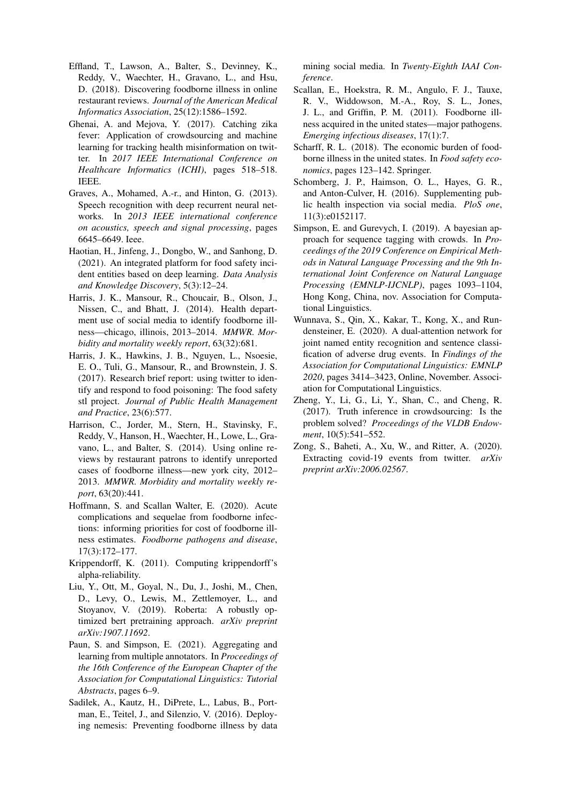- <span id="page-8-6"></span>Effland, T., Lawson, A., Balter, S., Devinney, K., Reddy, V., Waechter, H., Gravano, L., and Hsu, D. (2018). Discovering foodborne illness in online restaurant reviews. *Journal of the American Medical Informatics Association*, 25(12):1586–1592.
- <span id="page-8-15"></span>Ghenai, A. and Mejova, Y. (2017). Catching zika fever: Application of crowdsourcing and machine learning for tracking health misinformation on twitter. In *2017 IEEE International Conference on Healthcare Informatics (ICHI)*, pages 518–518. IEEE.
- <span id="page-8-9"></span>Graves, A., Mohamed, A.-r., and Hinton, G. (2013). Speech recognition with deep recurrent neural networks. In *2013 IEEE international conference on acoustics, speech and signal processing*, pages 6645–6649. Ieee.
- <span id="page-8-13"></span>Haotian, H., Jinfeng, J., Dongbo, W., and Sanhong, D. (2021). An integrated platform for food safety incident entities based on deep learning. *Data Analysis and Knowledge Discovery*, 5(3):12–24.
- <span id="page-8-11"></span>Harris, J. K., Mansour, R., Choucair, B., Olson, J., Nissen, C., and Bhatt, J. (2014). Health department use of social media to identify foodborne illness—chicago, illinois, 2013–2014. *MMWR. Morbidity and mortality weekly report*, 63(32):681.
- <span id="page-8-12"></span>Harris, J. K., Hawkins, J. B., Nguyen, L., Nsoesie, E. O., Tuli, G., Mansour, R., and Brownstein, J. S. (2017). Research brief report: using twitter to identify and respond to food poisoning: The food safety stl project. *Journal of Public Health Management and Practice*, 23(6):577.
- <span id="page-8-3"></span>Harrison, C., Jorder, M., Stern, H., Stavinsky, F., Reddy, V., Hanson, H., Waechter, H., Lowe, L., Gravano, L., and Balter, S. (2014). Using online reviews by restaurant patrons to identify unreported cases of foodborne illness—new york city, 2012– 2013. *MMWR. Morbidity and mortality weekly report*, 63(20):441.
- <span id="page-8-1"></span>Hoffmann, S. and Scallan Walter, E. (2020). Acute complications and sequelae from foodborne infections: informing priorities for cost of foodborne illness estimates. *Foodborne pathogens and disease*, 17(3):172–177.
- <span id="page-8-17"></span>Krippendorff, K. (2011). Computing krippendorff's alpha-reliability.
- <span id="page-8-8"></span>Liu, Y., Ott, M., Goyal, N., Du, J., Joshi, M., Chen, D., Levy, O., Lewis, M., Zettlemoyer, L., and Stoyanov, V. (2019). Roberta: A robustly optimized bert pretraining approach. *arXiv preprint arXiv:1907.11692*.
- <span id="page-8-14"></span>Paun, S. and Simpson, E. (2021). Aggregating and learning from multiple annotators. In *Proceedings of the 16th Conference of the European Chapter of the Association for Computational Linguistics: Tutorial Abstracts*, pages 6–9.
- <span id="page-8-4"></span>Sadilek, A., Kautz, H., DiPrete, L., Labus, B., Portman, E., Teitel, J., and Silenzio, V. (2016). Deploying nemesis: Preventing foodborne illness by data

mining social media. In *Twenty-Eighth IAAI Conference*.

- <span id="page-8-0"></span>Scallan, E., Hoekstra, R. M., Angulo, F. J., Tauxe, R. V., Widdowson, M.-A., Roy, S. L., Jones, J. L., and Griffin, P. M. (2011). Foodborne illness acquired in the united states—major pathogens. *Emerging infectious diseases*, 17(1):7.
- <span id="page-8-2"></span>Scharff, R. L. (2018). The economic burden of foodborne illness in the united states. In *Food safety economics*, pages 123–142. Springer.
- <span id="page-8-5"></span>Schomberg, J. P., Haimson, O. L., Hayes, G. R., and Anton-Culver, H. (2016). Supplementing public health inspection via social media. *PloS one*, 11(3):e0152117.
- <span id="page-8-7"></span>Simpson, E. and Gurevych, I. (2019). A bayesian approach for sequence tagging with crowds. In *Proceedings of the 2019 Conference on Empirical Methods in Natural Language Processing and the 9th International Joint Conference on Natural Language Processing (EMNLP-IJCNLP)*, pages 1093–1104, Hong Kong, China, nov. Association for Computational Linguistics.
- <span id="page-8-10"></span>Wunnava, S., Qin, X., Kakar, T., Kong, X., and Rundensteiner, E. (2020). A dual-attention network for joint named entity recognition and sentence classification of adverse drug events. In *Findings of the Association for Computational Linguistics: EMNLP 2020*, pages 3414–3423, Online, November. Association for Computational Linguistics.
- <span id="page-8-18"></span>Zheng, Y., Li, G., Li, Y., Shan, C., and Cheng, R. (2017). Truth inference in crowdsourcing: Is the problem solved? *Proceedings of the VLDB Endowment*, 10(5):541–552.
- <span id="page-8-16"></span>Zong, S., Baheti, A., Xu, W., and Ritter, A. (2020). Extracting covid-19 events from twitter. *arXiv preprint arXiv:2006.02567*.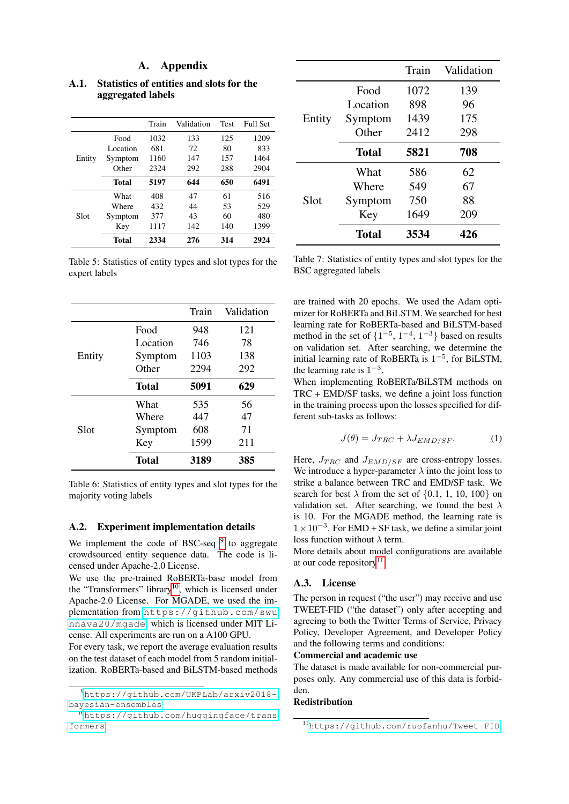# A. Appendix

|        |              | Train | Validation | <b>Test</b> | <b>Full Set</b> |
|--------|--------------|-------|------------|-------------|-----------------|
|        | Food         | 1032  | 133        | 125         | 1209            |
|        | Location     | 681   | 72         | 80          | 833             |
| Entity | Symptom      | 1160  | 147        | 157         | 1464            |
|        | Other        | 2324  | 292        | 288         | 2904            |
|        | <b>Total</b> | 5197  | 644        | 650         | 6491            |
|        | What         | 408   | 47         | 61          | 516             |
|        | Where        | 432   | 44         | 53          | 529             |
| Slot   | Symptom      | 377   | 43         | 60          | 480             |
|        | Key          | 1117  | 142        | 140         | 1399            |
|        | Total        | 2334  | 276        | 314         | 2924            |

A.1. Statistics of entities and slots for the aggregated labels

Table 5: Statistics of entity types and slot types for the expert labels

|        |              | Train | Validation |
|--------|--------------|-------|------------|
|        | Food         | 948   | 121        |
|        | Location     | 746   | 78         |
| Entity | Symptom      | 1103  | 138        |
|        | Other        | 2294  | 292        |
|        | <b>Total</b> | 5091  | 629        |
|        | What         | 535   | 56         |
|        | Where        | 447   | 47         |
| Slot   | Symptom      | 608   | 71         |
|        | Key          | 1599  | 211        |
|        | Total        | 3189  | 385        |

Table 6: Statistics of entity types and slot types for the majority voting labels

# A.2. Experiment implementation details

We implement the code of BSC-seq  $9$  to aggregate crowdsourced entity sequence data. The code is licensed under Apache-2.0 License.

We use the pre-trained RoBERTa-base model from the "Transformers" library<sup>[10](#page-9-1)</sup>, which is licensed under Apache-2.0 License. For MGADE, we used the implementation from [https://github.com/swu](https://github.com/swunnava20/mgade) [nnava20/mgade](https://github.com/swunnava20/mgade), which is licensed under MIT License. All experiments are run on a A100 GPU.

For every task, we report the average evaluation results on the test dataset of each model from 5 random initialization. RoBERTa-based and BiLSTM-based methods

|        |              | Train | Validation |
|--------|--------------|-------|------------|
|        | Food         | 1072  | 139        |
|        | Location     | 898   | 96         |
| Entity | Symptom      | 1439  | 175        |
|        | Other        | 2412  | 298        |
|        | <b>Total</b> | 5821  | 708        |
|        | What         | 586   | 62         |
|        | Where        | 549   | 67         |
| Slot   | Symptom      | 750   | 88         |
|        | Key          | 1649  | 209        |
|        | Total        | 3534  | 426        |

Table 7: Statistics of entity types and slot types for the BSC aggregated labels

are trained with 20 epochs. We used the Adam optimizer for RoBERTa and BiLSTM. We searched for best learning rate for RoBERTa-based and BiLSTM-based method in the set of  $\{1^{-5}, 1^{-4}, 1^{-3}\}$  based on results on validation set. After searching, we determine the initial learning rate of RoBERTa is  $1^{-5}$ , for BiLSTM, the learning rate is  $1^{-3}$ .

When implementing RoBERTa/BiLSTM methods on TRC + EMD/SF tasks, we define a joint loss function in the training process upon the losses specified for different sub-tasks as follows:

$$
J(\theta) = J_{TRC} + \lambda J_{EMD/SF}.
$$
 (1)

Here,  $J_{TRC}$  and  $J_{EMD/SF}$  are cross-entropy losses. We introduce a hyper-parameter  $\lambda$  into the joint loss to strike a balance between TRC and EMD/SF task. We search for best  $\lambda$  from the set of {0.1, 1, 10, 100} on validation set. After searching, we found the best  $\lambda$ is 10. For the MGADE method, the learning rate is  $1 \times 10^{-3}$ . For EMD + SF task, we define a similar joint loss function without  $\lambda$  term.

More details about model configurations are available at our code repository<sup>[11](#page-9-2)</sup>.

# A.3. License

The person in request ("the user") may receive and use TWEET-FID ("the dataset") only after accepting and agreeing to both the Twitter Terms of Service, Privacy Policy, Developer Agreement, and Developer Policy and the following terms and conditions:

# Commercial and academic use

The dataset is made available for non-commercial purposes only. Any commercial use of this data is forbidden.

### Redistribution

<span id="page-9-0"></span><sup>9</sup>[https://github.com/UKPLab/arxiv2018](https://github.com/UKPLab/arxiv2018-bayesian-ensembles) [bayesian-ensembles](https://github.com/UKPLab/arxiv2018-bayesian-ensembles)

<span id="page-9-1"></span><sup>10</sup>[https://github.com/huggingface/trans](https://github.com/huggingface/transformers) [formers](https://github.com/huggingface/transformers)

<span id="page-9-2"></span><sup>11</sup><https://github.com/ruofanhu/Tweet-FID>